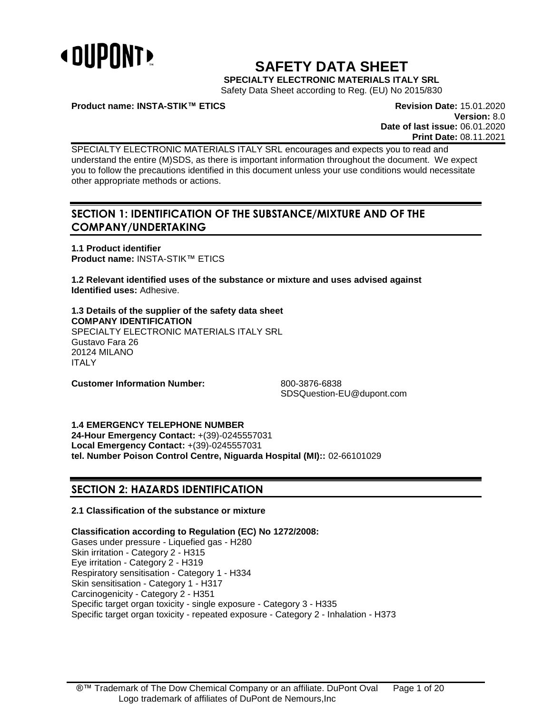

# **SAFETY DATA SHEET**

**SPECIALTY ELECTRONIC MATERIALS ITALY SRL**

Safety Data Sheet according to Reg. (EU) No 2015/830

**Product name: INSTA-STIK™ ETICS Revision Date:** 15.01.2020

**Version:** 8.0 **Date of last issue:** 06.01.2020 **Print Date:** 08.11.2021

SPECIALTY ELECTRONIC MATERIALS ITALY SRL encourages and expects you to read and understand the entire (M)SDS, as there is important information throughout the document. We expect you to follow the precautions identified in this document unless your use conditions would necessitate other appropriate methods or actions.

# **SECTION 1: IDENTIFICATION OF THE SUBSTANCE/MIXTURE AND OF THE COMPANY/UNDERTAKING**

**1.1 Product identifier Product name:** INSTA-STIK™ ETICS

**1.2 Relevant identified uses of the substance or mixture and uses advised against Identified uses:** Adhesive.

**1.3 Details of the supplier of the safety data sheet COMPANY IDENTIFICATION** SPECIALTY ELECTRONIC MATERIALS ITALY SRL Gustavo Fara 26 20124 MILANO ITALY

**Customer Information Number:** 800-3876-6838

SDSQuestion-EU@dupont.com

**1.4 EMERGENCY TELEPHONE NUMBER**

**24-Hour Emergency Contact:** +(39)-0245557031 **Local Emergency Contact:** +(39)-0245557031 **tel. Number Poison Control Centre, Niguarda Hospital (MI)::** 02-66101029

# **SECTION 2: HAZARDS IDENTIFICATION**

# **2.1 Classification of the substance or mixture**

**Classification according to Regulation (EC) No 1272/2008:**

Gases under pressure - Liquefied gas - H280 Skin irritation - Category 2 - H315 Eye irritation - Category 2 - H319 Respiratory sensitisation - Category 1 - H334 Skin sensitisation - Category 1 - H317 Carcinogenicity - Category 2 - H351 Specific target organ toxicity - single exposure - Category 3 - H335 Specific target organ toxicity - repeated exposure - Category 2 - Inhalation - H373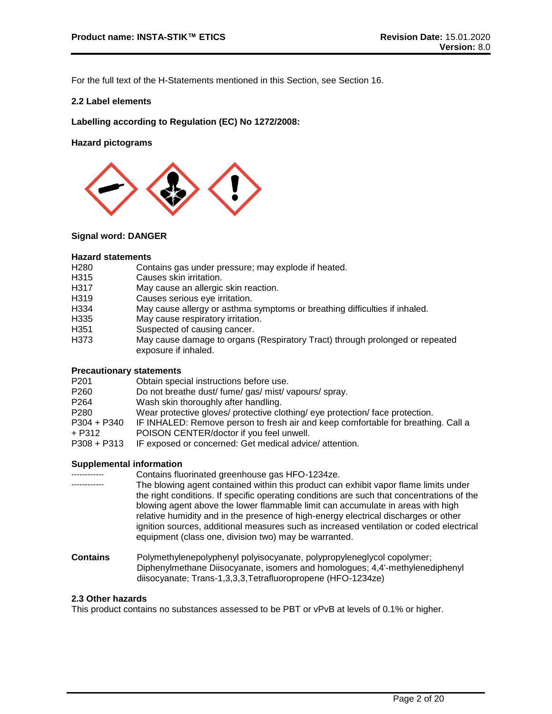For the full text of the H-Statements mentioned in this Section, see Section 16.

# **2.2 Label elements**

**Labelling according to Regulation (EC) No 1272/2008:**

**Hazard pictograms**



# **Signal word: DANGER**

## **Hazard statements**

- H280 Contains gas under pressure; may explode if heated.<br>H315 Causes skin irritation.
- Causes skin irritation.
- H317 May cause an allergic skin reaction.<br>H319 Causes serious eve irritation.
- Causes serious eye irritation.
- H334 May cause allergy or asthma symptoms or breathing difficulties if inhaled.
- H335 May cause respiratory irritation.
- H351 Suspected of causing cancer.
- H373 May cause damage to organs (Respiratory Tract) through prolonged or repeated exposure if inhaled.

# **Precautionary statements**

| Obtain special instructions before use.                                           |
|-----------------------------------------------------------------------------------|
| Do not breathe dust/ fume/ gas/ mist/ vapours/ spray.                             |
| Wash skin thoroughly after handling.                                              |
| Wear protective gloves/ protective clothing/ eye protection/ face protection.     |
| IF INHALED: Remove person to fresh air and keep comfortable for breathing. Call a |
| POISON CENTER/doctor if you feel unwell.                                          |
| IF exposed or concerned: Get medical advice/attention.                            |
|                                                                                   |

# **Supplemental information**

|                 | Contains fluorinated greenhouse gas HFO-1234ze.                                                                                                                                                                                                                                                                                                                                                                                                                                                                  |
|-----------------|------------------------------------------------------------------------------------------------------------------------------------------------------------------------------------------------------------------------------------------------------------------------------------------------------------------------------------------------------------------------------------------------------------------------------------------------------------------------------------------------------------------|
|                 | The blowing agent contained within this product can exhibit vapor flame limits under<br>the right conditions. If specific operating conditions are such that concentrations of the<br>blowing agent above the lower flammable limit can accumulate in areas with high<br>relative humidity and in the presence of high-energy electrical discharges or other<br>ignition sources, additional measures such as increased ventilation or coded electrical<br>equipment (class one, division two) may be warranted. |
| <b>Contains</b> | Polymethylenepolyphenyl polyisocyanate, polypropyleneglycol copolymer;<br>Diphenylmethane Diisocyanate, isomers and homologues; 4,4'-methylenediphenyl                                                                                                                                                                                                                                                                                                                                                           |

# **2.3 Other hazards**

This product contains no substances assessed to be PBT or vPvB at levels of 0.1% or higher.

diisocyanate; Trans-1,3,3,3,Tetrafluoropropene (HFO-1234ze)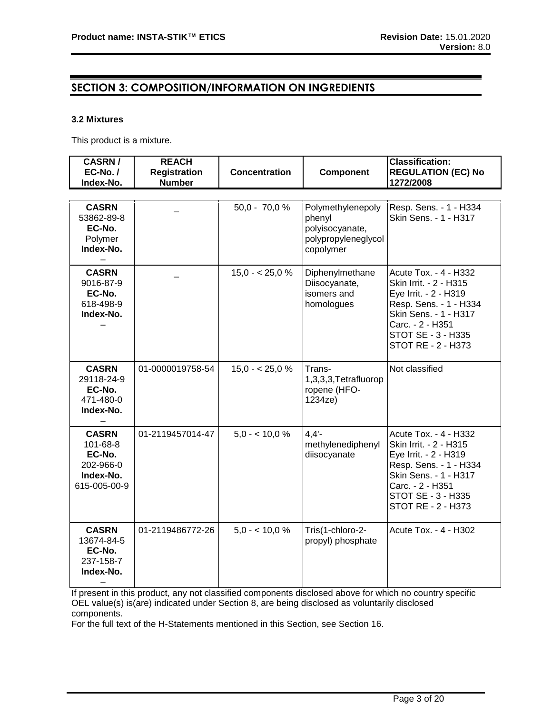# **SECTION 3: COMPOSITION/INFORMATION ON INGREDIENTS**

# **3.2 Mixtures**

This product is a mixture.

| <b>CASRN/</b><br>$EC-No. /$<br>Index-No.                                     | <b>REACH</b><br><b>Registration</b><br><b>Number</b> | <b>Concentration</b> | <b>Component</b>                                                                   | <b>Classification:</b><br><b>REGULATION (EC) No</b><br>1272/2008                                                                                                                            |
|------------------------------------------------------------------------------|------------------------------------------------------|----------------------|------------------------------------------------------------------------------------|---------------------------------------------------------------------------------------------------------------------------------------------------------------------------------------------|
|                                                                              |                                                      |                      |                                                                                    |                                                                                                                                                                                             |
| <b>CASRN</b><br>53862-89-8<br>EC-No.<br>Polymer<br>Index-No.                 |                                                      | $50,0 - 70,0 %$      | Polymethylenepoly<br>phenyl<br>polyisocyanate,<br>polypropyleneglycol<br>copolymer | Resp. Sens. - 1 - H334<br>Skin Sens. - 1 - H317                                                                                                                                             |
| <b>CASRN</b><br>9016-87-9<br>EC-No.<br>618-498-9<br>Index-No.                |                                                      | $15,0 - 25,0 %$      | Diphenylmethane<br>Diisocyanate,<br>isomers and<br>homologues                      | Acute Tox. - 4 - H332<br>Skin Irrit. - 2 - H315<br>Eye Irrit. - 2 - H319<br>Resp. Sens. - 1 - H334<br>Skin Sens. - 1 - H317<br>Carc. - 2 - H351<br>STOT SE - 3 - H335<br>STOT RE - 2 - H373 |
| <b>CASRN</b><br>29118-24-9<br>EC-No.<br>471-480-0<br>Index-No.               | 01-0000019758-54                                     | $15,0 - 25,0 %$      | Trans-<br>1,3,3,3,Tetrafluorop<br>ropene (HFO-<br>1234ze)                          | Not classified                                                                                                                                                                              |
| <b>CASRN</b><br>101-68-8<br>EC-No.<br>202-966-0<br>Index-No.<br>615-005-00-9 | 01-2119457014-47                                     | $5.0 - 10.0 \%$      | 4.4'<br>methylenediphenyl<br>diisocyanate                                          | Acute Tox. - 4 - H332<br>Skin Irrit. - 2 - H315<br>Eye Irrit. - 2 - H319<br>Resp. Sens. - 1 - H334<br>Skin Sens. - 1 - H317<br>Carc. - 2 - H351<br>STOT SE - 3 - H335<br>STOT RE - 2 - H373 |
| <b>CASRN</b><br>13674-84-5<br>EC-No.<br>237-158-7<br>Index-No.               | 01-2119486772-26                                     | $5.0 - 10.0 \%$      | Tris(1-chloro-2-<br>propyl) phosphate                                              | Acute Tox. - 4 - H302                                                                                                                                                                       |

If present in this product, any not classified components disclosed above for which no country specific OEL value(s) is(are) indicated under Section 8, are being disclosed as voluntarily disclosed components.

For the full text of the H-Statements mentioned in this Section, see Section 16.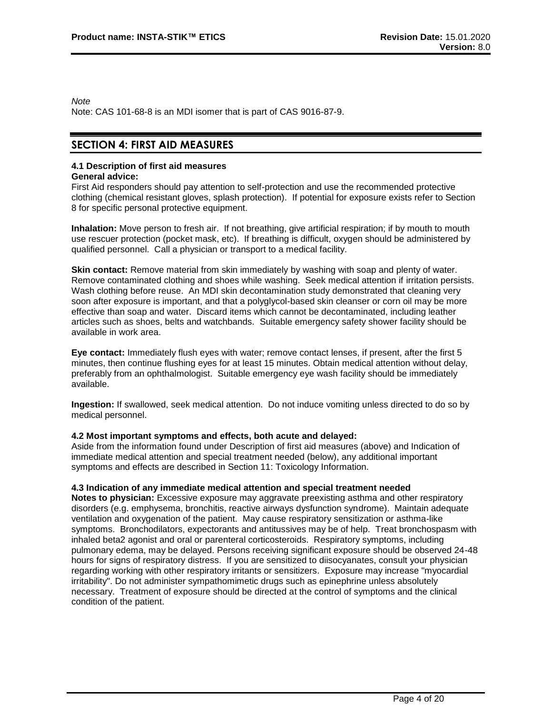*Note*

Note: CAS 101-68-8 is an MDI isomer that is part of CAS 9016-87-9.

# **SECTION 4: FIRST AID MEASURES**

# **4.1 Description of first aid measures**

# **General advice:**

First Aid responders should pay attention to self-protection and use the recommended protective clothing (chemical resistant gloves, splash protection). If potential for exposure exists refer to Section 8 for specific personal protective equipment.

**Inhalation:** Move person to fresh air. If not breathing, give artificial respiration; if by mouth to mouth use rescuer protection (pocket mask, etc). If breathing is difficult, oxygen should be administered by qualified personnel. Call a physician or transport to a medical facility.

**Skin contact:** Remove material from skin immediately by washing with soap and plenty of water. Remove contaminated clothing and shoes while washing. Seek medical attention if irritation persists. Wash clothing before reuse. An MDI skin decontamination study demonstrated that cleaning very soon after exposure is important, and that a polyglycol-based skin cleanser or corn oil may be more effective than soap and water. Discard items which cannot be decontaminated, including leather articles such as shoes, belts and watchbands. Suitable emergency safety shower facility should be available in work area.

**Eye contact:** Immediately flush eyes with water; remove contact lenses, if present, after the first 5 minutes, then continue flushing eyes for at least 15 minutes. Obtain medical attention without delay, preferably from an ophthalmologist. Suitable emergency eye wash facility should be immediately available.

**Ingestion:** If swallowed, seek medical attention. Do not induce vomiting unless directed to do so by medical personnel.

# **4.2 Most important symptoms and effects, both acute and delayed:**

Aside from the information found under Description of first aid measures (above) and Indication of immediate medical attention and special treatment needed (below), any additional important symptoms and effects are described in Section 11: Toxicology Information.

# **4.3 Indication of any immediate medical attention and special treatment needed**

**Notes to physician:** Excessive exposure may aggravate preexisting asthma and other respiratory disorders (e.g. emphysema, bronchitis, reactive airways dysfunction syndrome). Maintain adequate ventilation and oxygenation of the patient. May cause respiratory sensitization or asthma-like symptoms. Bronchodilators, expectorants and antitussives may be of help. Treat bronchospasm with inhaled beta2 agonist and oral or parenteral corticosteroids. Respiratory symptoms, including pulmonary edema, may be delayed. Persons receiving significant exposure should be observed 24-48 hours for signs of respiratory distress. If you are sensitized to diisocyanates, consult your physician regarding working with other respiratory irritants or sensitizers. Exposure may increase "myocardial irritability". Do not administer sympathomimetic drugs such as epinephrine unless absolutely necessary. Treatment of exposure should be directed at the control of symptoms and the clinical condition of the patient.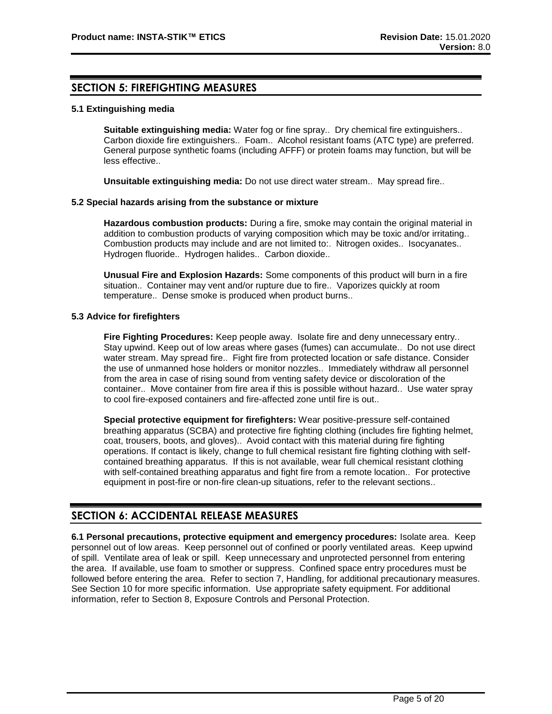# **SECTION 5: FIREFIGHTING MEASURES**

# **5.1 Extinguishing media**

**Suitable extinguishing media:** Water fog or fine spray.. Dry chemical fire extinguishers.. Carbon dioxide fire extinguishers.. Foam.. Alcohol resistant foams (ATC type) are preferred. General purpose synthetic foams (including AFFF) or protein foams may function, but will be less effective..

**Unsuitable extinguishing media:** Do not use direct water stream.. May spread fire..

## **5.2 Special hazards arising from the substance or mixture**

**Hazardous combustion products:** During a fire, smoke may contain the original material in addition to combustion products of varying composition which may be toxic and/or irritating.. Combustion products may include and are not limited to:. Nitrogen oxides.. Isocyanates.. Hydrogen fluoride.. Hydrogen halides.. Carbon dioxide..

**Unusual Fire and Explosion Hazards:** Some components of this product will burn in a fire situation.. Container may vent and/or rupture due to fire.. Vaporizes quickly at room temperature.. Dense smoke is produced when product burns..

# **5.3 Advice for firefighters**

**Fire Fighting Procedures:** Keep people away. Isolate fire and deny unnecessary entry.. Stay upwind. Keep out of low areas where gases (fumes) can accumulate.. Do not use direct water stream. May spread fire.. Fight fire from protected location or safe distance. Consider the use of unmanned hose holders or monitor nozzles.. Immediately withdraw all personnel from the area in case of rising sound from venting safety device or discoloration of the container.. Move container from fire area if this is possible without hazard.. Use water spray to cool fire-exposed containers and fire-affected zone until fire is out..

**Special protective equipment for firefighters:** Wear positive-pressure self-contained breathing apparatus (SCBA) and protective fire fighting clothing (includes fire fighting helmet, coat, trousers, boots, and gloves).. Avoid contact with this material during fire fighting operations. If contact is likely, change to full chemical resistant fire fighting clothing with selfcontained breathing apparatus. If this is not available, wear full chemical resistant clothing with self-contained breathing apparatus and fight fire from a remote location.. For protective equipment in post-fire or non-fire clean-up situations, refer to the relevant sections..

# **SECTION 6: ACCIDENTAL RELEASE MEASURES**

**6.1 Personal precautions, protective equipment and emergency procedures:** Isolate area. Keep personnel out of low areas. Keep personnel out of confined or poorly ventilated areas. Keep upwind of spill. Ventilate area of leak or spill. Keep unnecessary and unprotected personnel from entering the area. If available, use foam to smother or suppress. Confined space entry procedures must be followed before entering the area. Refer to section 7, Handling, for additional precautionary measures. See Section 10 for more specific information. Use appropriate safety equipment. For additional information, refer to Section 8, Exposure Controls and Personal Protection.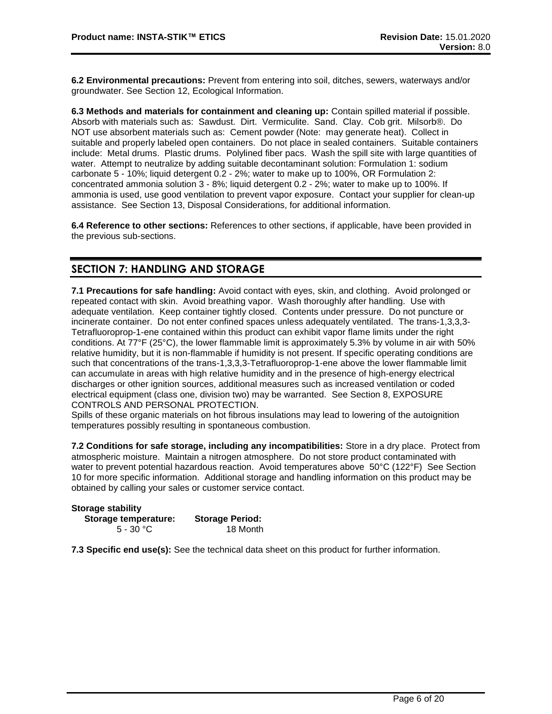**6.2 Environmental precautions:** Prevent from entering into soil, ditches, sewers, waterways and/or groundwater. See Section 12, Ecological Information.

**6.3 Methods and materials for containment and cleaning up:** Contain spilled material if possible. Absorb with materials such as: Sawdust. Dirt. Vermiculite. Sand. Clay. Cob grit. Milsorb®. Do NOT use absorbent materials such as: Cement powder (Note: may generate heat). Collect in suitable and properly labeled open containers. Do not place in sealed containers. Suitable containers include: Metal drums. Plastic drums. Polylined fiber pacs. Wash the spill site with large quantities of water. Attempt to neutralize by adding suitable decontaminant solution: Formulation 1: sodium carbonate 5 - 10%; liquid detergent 0.2 - 2%; water to make up to 100%, OR Formulation 2: concentrated ammonia solution 3 - 8%; liquid detergent 0.2 - 2%; water to make up to 100%. If ammonia is used, use good ventilation to prevent vapor exposure. Contact your supplier for clean-up assistance. See Section 13, Disposal Considerations, for additional information.

**6.4 Reference to other sections:** References to other sections, if applicable, have been provided in the previous sub-sections.

# **SECTION 7: HANDLING AND STORAGE**

**7.1 Precautions for safe handling:** Avoid contact with eyes, skin, and clothing. Avoid prolonged or repeated contact with skin. Avoid breathing vapor. Wash thoroughly after handling. Use with adequate ventilation. Keep container tightly closed. Contents under pressure. Do not puncture or incinerate container. Do not enter confined spaces unless adequately ventilated. The trans-1,3,3,3- Tetrafluoroprop-1-ene contained within this product can exhibit vapor flame limits under the right conditions. At 77°F (25°C), the lower flammable limit is approximately 5.3% by volume in air with 50% relative humidity, but it is non-flammable if humidity is not present. If specific operating conditions are such that concentrations of the trans-1,3,3,3-Tetrafluoroprop-1-ene above the lower flammable limit can accumulate in areas with high relative humidity and in the presence of high-energy electrical discharges or other ignition sources, additional measures such as increased ventilation or coded electrical equipment (class one, division two) may be warranted. See Section 8, EXPOSURE CONTROLS AND PERSONAL PROTECTION.

Spills of these organic materials on hot fibrous insulations may lead to lowering of the autoignition temperatures possibly resulting in spontaneous combustion.

**7.2 Conditions for safe storage, including any incompatibilities:** Store in a dry place. Protect from atmospheric moisture. Maintain a nitrogen atmosphere. Do not store product contaminated with water to prevent potential hazardous reaction. Avoid temperatures above 50°C (122°F) See Section 10 for more specific information. Additional storage and handling information on this product may be obtained by calling your sales or customer service contact.

| <b>Storage stability</b> |                        |
|--------------------------|------------------------|
| Storage temperature:     | <b>Storage Period:</b> |
| 5 - 30 °C                | 18 Month               |

**7.3 Specific end use(s):** See the technical data sheet on this product for further information.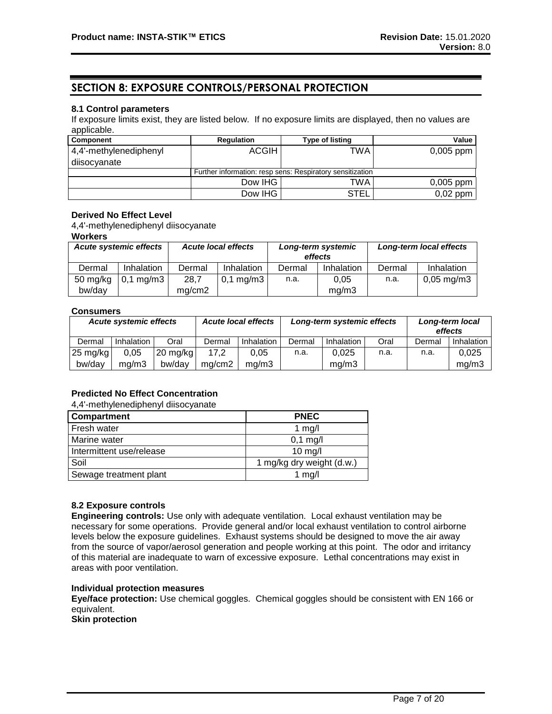# **SECTION 8: EXPOSURE CONTROLS/PERSONAL PROTECTION**

# **8.1 Control parameters**

If exposure limits exist, they are listed below. If no exposure limits are displayed, then no values are applicable.

| Component              | <b>Regulation</b> | <b>Type of listing</b>                                    | Value       |
|------------------------|-------------------|-----------------------------------------------------------|-------------|
| 4,4'-methylenediphenyl | <b>ACGIH</b>      | TWA                                                       | $0,005$ ppm |
| diisocyanate           |                   |                                                           |             |
|                        |                   | Further information: resp sens: Respiratory sensitization |             |
|                        | Dow IHG           | TWA                                                       | $0,005$ ppm |
|                        | Dow IHG           | <b>STEL</b>                                               | $0,02$ ppm  |

# **Derived No Effect Level**

4,4'-methylenediphenyl diisocyanate

#### **Workers**

| <b>Acute systemic effects</b> |                      |        | <b>Acute local effects</b> |        | Long-term systemic<br>effects |        | Long-term local effects |
|-------------------------------|----------------------|--------|----------------------------|--------|-------------------------------|--------|-------------------------|
| Dermal                        | Inhalation           | Dermal | Inhalation                 | Dermal | Inhalation                    | Dermal | Inhalation              |
| $50$ mg/kg                    | $0,1 \text{ mg/m}$ 3 | 28,7   | $0,1 \text{ mg/m}$ 3       | n.a.   | 0.05                          | n.a.   | $0,05 \,\mathrm{mg/m}$  |
| bw/day                        |                      | mg/cm2 |                            |        | ma/m3                         |        |                         |

## **Consumers**

| <b>Acute local effects</b><br><b>Acute systemic effects</b> |            |            | Long-term systemic effects |            |        | Long-term local<br>effects |      |        |            |
|-------------------------------------------------------------|------------|------------|----------------------------|------------|--------|----------------------------|------|--------|------------|
| Dermal                                                      | Inhalation | Oral       | Dermal                     | Inhalation | Dermal | Inhalation                 | Oral | Dermal | Inhalation |
| $25 \text{ mg/kg}$                                          | 0,05       | $20$ mg/kg | 17.2                       | 0.05       | n.a.   | 0.025                      | n.a. | n.a.   | 0.025      |
| bw/dav                                                      | ma/m3      | bw/dav     | ma/cm2                     | ma/m3      |        | mg/m3                      |      |        | mq/m3      |

# **Predicted No Effect Concentration**

4,4'-methylenediphenyl diisocyanate

| Compartment              | <b>PNEC</b>               |
|--------------------------|---------------------------|
| Fresh water              | $1$ mg/                   |
| Marine water             | $0,1$ mg/l                |
| Intermittent use/release | $10$ mg/                  |
| Soil                     | 1 mg/kg dry weight (d.w.) |
| Sewage treatment plant   | 1 $mg/l$                  |

# **8.2 Exposure controls**

**Engineering controls:** Use only with adequate ventilation. Local exhaust ventilation may be necessary for some operations. Provide general and/or local exhaust ventilation to control airborne levels below the exposure guidelines. Exhaust systems should be designed to move the air away from the source of vapor/aerosol generation and people working at this point. The odor and irritancy of this material are inadequate to warn of excessive exposure. Lethal concentrations may exist in areas with poor ventilation.

# **Individual protection measures**

**Eye/face protection:** Use chemical goggles. Chemical goggles should be consistent with EN 166 or equivalent.

**Skin protection**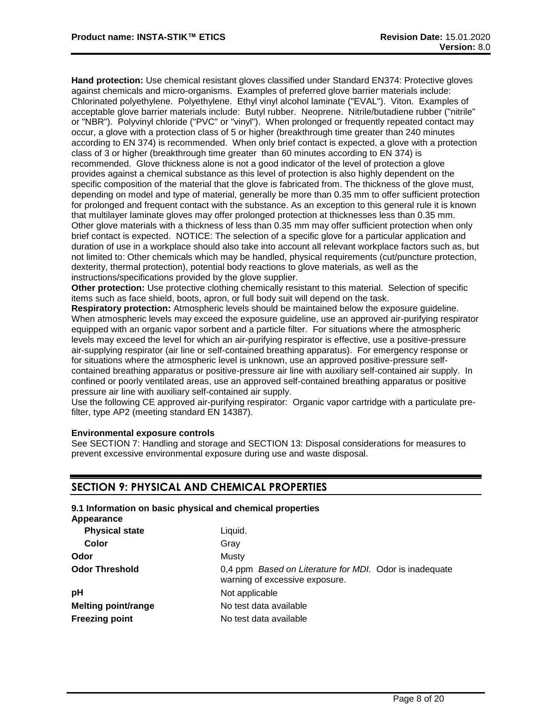**Hand protection:** Use chemical resistant gloves classified under Standard EN374: Protective gloves against chemicals and micro-organisms. Examples of preferred glove barrier materials include: Chlorinated polyethylene. Polyethylene. Ethyl vinyl alcohol laminate ("EVAL"). Viton. Examples of acceptable glove barrier materials include: Butyl rubber. Neoprene. Nitrile/butadiene rubber ("nitrile" or "NBR"). Polyvinyl chloride ("PVC" or "vinyl"). When prolonged or frequently repeated contact may occur, a glove with a protection class of 5 or higher (breakthrough time greater than 240 minutes according to EN 374) is recommended. When only brief contact is expected, a glove with a protection class of 3 or higher (breakthrough time greater than 60 minutes according to EN 374) is recommended. Glove thickness alone is not a good indicator of the level of protection a glove provides against a chemical substance as this level of protection is also highly dependent on the specific composition of the material that the glove is fabricated from. The thickness of the glove must, depending on model and type of material, generally be more than 0.35 mm to offer sufficient protection for prolonged and frequent contact with the substance. As an exception to this general rule it is known that multilayer laminate gloves may offer prolonged protection at thicknesses less than 0.35 mm. Other glove materials with a thickness of less than 0.35 mm may offer sufficient protection when only brief contact is expected. NOTICE: The selection of a specific glove for a particular application and duration of use in a workplace should also take into account all relevant workplace factors such as, but not limited to: Other chemicals which may be handled, physical requirements (cut/puncture protection, dexterity, thermal protection), potential body reactions to glove materials, as well as the instructions/specifications provided by the glove supplier.

**Other protection:** Use protective clothing chemically resistant to this material. Selection of specific items such as face shield, boots, apron, or full body suit will depend on the task.

**Respiratory protection:** Atmospheric levels should be maintained below the exposure guideline. When atmospheric levels may exceed the exposure guideline, use an approved air-purifying respirator equipped with an organic vapor sorbent and a particle filter. For situations where the atmospheric levels may exceed the level for which an air-purifying respirator is effective, use a positive-pressure air-supplying respirator (air line or self-contained breathing apparatus). For emergency response or for situations where the atmospheric level is unknown, use an approved positive-pressure selfcontained breathing apparatus or positive-pressure air line with auxiliary self-contained air supply. In confined or poorly ventilated areas, use an approved self-contained breathing apparatus or positive pressure air line with auxiliary self-contained air supply.

Use the following CE approved air-purifying respirator: Organic vapor cartridge with a particulate prefilter, type AP2 (meeting standard EN 14387).

# **Environmental exposure controls**

See SECTION 7: Handling and storage and SECTION 13: Disposal considerations for measures to prevent excessive environmental exposure during use and waste disposal.

# **SECTION 9: PHYSICAL AND CHEMICAL PROPERTIES**

| Appearance                 | 9.1 Information on basic physical and chemical properties                                 |
|----------------------------|-------------------------------------------------------------------------------------------|
| <b>Physical state</b>      | Liguid.                                                                                   |
| Color                      | Gray                                                                                      |
| Odor                       | Musty                                                                                     |
| <b>Odor Threshold</b>      | 0,4 ppm Based on Literature for MDI. Odor is inadequate<br>warning of excessive exposure. |
| pH                         | Not applicable                                                                            |
| <b>Melting point/range</b> | No test data available                                                                    |
| <b>Freezing point</b>      | No test data available                                                                    |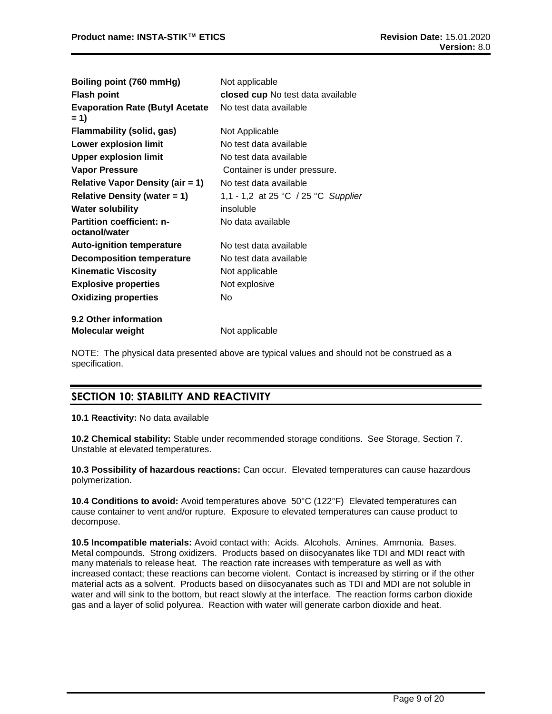| Boiling point (760 mmHg)                          | Not applicable                      |
|---------------------------------------------------|-------------------------------------|
| <b>Flash point</b>                                | closed cup No test data available   |
| <b>Evaporation Rate (Butyl Acetate</b><br>$= 1$   | No test data available              |
| Flammability (solid, gas)                         | Not Applicable                      |
| <b>Lower explosion limit</b>                      | No test data available              |
| <b>Upper explosion limit</b>                      | No test data available              |
| <b>Vapor Pressure</b>                             | Container is under pressure.        |
| <b>Relative Vapor Density (air = 1)</b>           | No test data available              |
| Relative Density (water $= 1$ )                   | 1,1 - 1,2 at 25 °C / 25 °C Supplier |
| <b>Water solubility</b>                           | insoluble                           |
| <b>Partition coefficient: n-</b><br>octanol/water | No data available                   |
| <b>Auto-ignition temperature</b>                  | No test data available              |
| <b>Decomposition temperature</b>                  | No test data available              |
| <b>Kinematic Viscosity</b>                        | Not applicable                      |
| <b>Explosive properties</b>                       | Not explosive                       |
| <b>Oxidizing properties</b>                       | N٥                                  |
| 9.2 Other information                             |                                     |
| <b>Molecular weight</b>                           | Not applicable                      |

NOTE: The physical data presented above are typical values and should not be construed as a specification.

# **SECTION 10: STABILITY AND REACTIVITY**

**10.1 Reactivity:** No data available

**10.2 Chemical stability:** Stable under recommended storage conditions. See Storage, Section 7. Unstable at elevated temperatures.

**10.3 Possibility of hazardous reactions:** Can occur. Elevated temperatures can cause hazardous polymerization.

**10.4 Conditions to avoid:** Avoid temperatures above 50°C (122°F) Elevated temperatures can cause container to vent and/or rupture. Exposure to elevated temperatures can cause product to decompose.

**10.5 Incompatible materials:** Avoid contact with: Acids. Alcohols. Amines. Ammonia. Bases. Metal compounds. Strong oxidizers. Products based on diisocyanates like TDI and MDI react with many materials to release heat. The reaction rate increases with temperature as well as with increased contact; these reactions can become violent. Contact is increased by stirring or if the other material acts as a solvent. Products based on diisocyanates such as TDI and MDI are not soluble in water and will sink to the bottom, but react slowly at the interface. The reaction forms carbon dioxide gas and a layer of solid polyurea. Reaction with water will generate carbon dioxide and heat.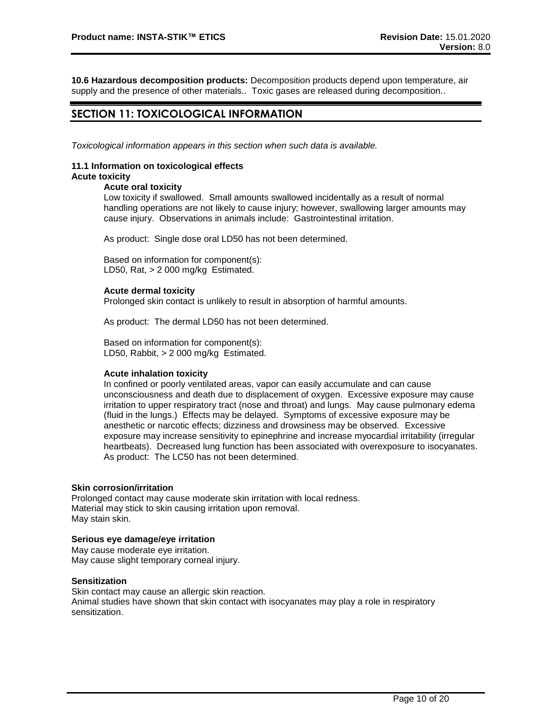**10.6 Hazardous decomposition products:** Decomposition products depend upon temperature, air supply and the presence of other materials.. Toxic gases are released during decomposition..

# **SECTION 11: TOXICOLOGICAL INFORMATION**

*Toxicological information appears in this section when such data is available.*

#### **11.1 Information on toxicological effects Acute toxicity**

# **Acute oral toxicity**

Low toxicity if swallowed. Small amounts swallowed incidentally as a result of normal handling operations are not likely to cause injury; however, swallowing larger amounts may cause injury. Observations in animals include: Gastrointestinal irritation.

As product: Single dose oral LD50 has not been determined.

Based on information for component(s): LD50, Rat, > 2 000 mg/kg Estimated.

## **Acute dermal toxicity**

Prolonged skin contact is unlikely to result in absorption of harmful amounts.

As product: The dermal LD50 has not been determined.

Based on information for component(s): LD50, Rabbit, > 2 000 mg/kg Estimated.

# **Acute inhalation toxicity**

In confined or poorly ventilated areas, vapor can easily accumulate and can cause unconsciousness and death due to displacement of oxygen. Excessive exposure may cause irritation to upper respiratory tract (nose and throat) and lungs. May cause pulmonary edema (fluid in the lungs.) Effects may be delayed. Symptoms of excessive exposure may be anesthetic or narcotic effects; dizziness and drowsiness may be observed. Excessive exposure may increase sensitivity to epinephrine and increase myocardial irritability (irregular heartbeats). Decreased lung function has been associated with overexposure to isocyanates. As product: The LC50 has not been determined.

#### **Skin corrosion/irritation**

Prolonged contact may cause moderate skin irritation with local redness. Material may stick to skin causing irritation upon removal. May stain skin.

# **Serious eye damage/eye irritation**

May cause moderate eye irritation. May cause slight temporary corneal injury.

# **Sensitization**

Skin contact may cause an allergic skin reaction.

Animal studies have shown that skin contact with isocyanates may play a role in respiratory sensitization.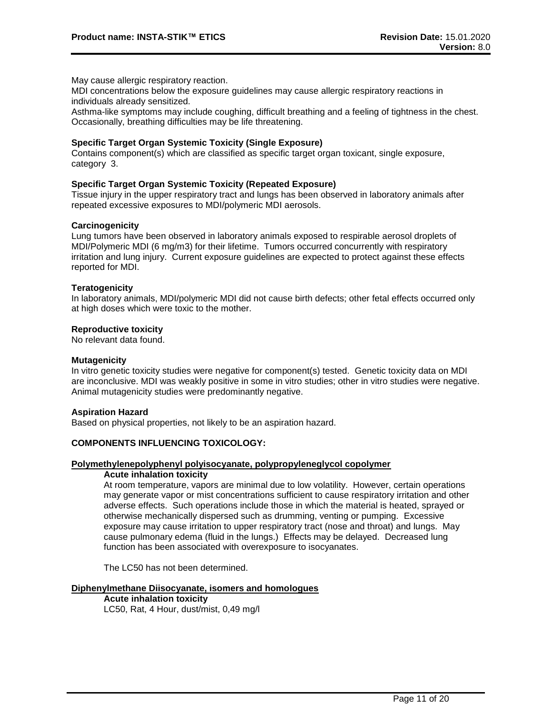May cause allergic respiratory reaction.

MDI concentrations below the exposure guidelines may cause allergic respiratory reactions in individuals already sensitized.

Asthma-like symptoms may include coughing, difficult breathing and a feeling of tightness in the chest. Occasionally, breathing difficulties may be life threatening.

# **Specific Target Organ Systemic Toxicity (Single Exposure)**

Contains component(s) which are classified as specific target organ toxicant, single exposure, category 3.

## **Specific Target Organ Systemic Toxicity (Repeated Exposure)**

Tissue injury in the upper respiratory tract and lungs has been observed in laboratory animals after repeated excessive exposures to MDI/polymeric MDI aerosols.

## **Carcinogenicity**

Lung tumors have been observed in laboratory animals exposed to respirable aerosol droplets of MDI/Polymeric MDI (6 mg/m3) for their lifetime. Tumors occurred concurrently with respiratory irritation and lung injury. Current exposure guidelines are expected to protect against these effects reported for MDI.

## **Teratogenicity**

In laboratory animals, MDI/polymeric MDI did not cause birth defects; other fetal effects occurred only at high doses which were toxic to the mother.

# **Reproductive toxicity**

No relevant data found.

#### **Mutagenicity**

In vitro genetic toxicity studies were negative for component(s) tested. Genetic toxicity data on MDI are inconclusive. MDI was weakly positive in some in vitro studies; other in vitro studies were negative. Animal mutagenicity studies were predominantly negative.

#### **Aspiration Hazard**

Based on physical properties, not likely to be an aspiration hazard.

# **COMPONENTS INFLUENCING TOXICOLOGY:**

# **Polymethylenepolyphenyl polyisocyanate, polypropyleneglycol copolymer**

#### **Acute inhalation toxicity**

At room temperature, vapors are minimal due to low volatility. However, certain operations may generate vapor or mist concentrations sufficient to cause respiratory irritation and other adverse effects. Such operations include those in which the material is heated, sprayed or otherwise mechanically dispersed such as drumming, venting or pumping. Excessive exposure may cause irritation to upper respiratory tract (nose and throat) and lungs. May cause pulmonary edema (fluid in the lungs.) Effects may be delayed. Decreased lung function has been associated with overexposure to isocyanates.

The LC50 has not been determined.

#### **Diphenylmethane Diisocyanate, isomers and homologues**

**Acute inhalation toxicity** LC50, Rat, 4 Hour, dust/mist, 0,49 mg/l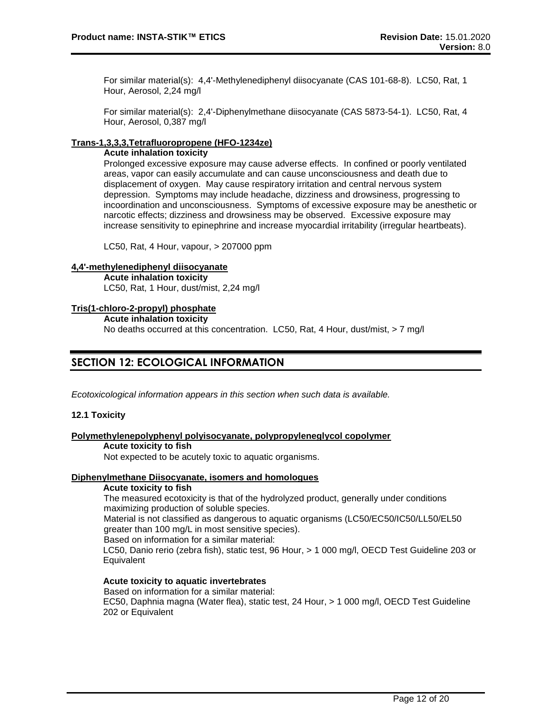For similar material(s): 4,4'-Methylenediphenyl diisocyanate (CAS 101-68-8). LC50, Rat, 1 Hour, Aerosol, 2,24 mg/l

For similar material(s): 2,4'-Diphenylmethane diisocyanate (CAS 5873-54-1). LC50, Rat, 4 Hour, Aerosol, 0,387 mg/l

# **Trans-1,3,3,3,Tetrafluoropropene (HFO-1234ze)**

## **Acute inhalation toxicity**

Prolonged excessive exposure may cause adverse effects. In confined or poorly ventilated areas, vapor can easily accumulate and can cause unconsciousness and death due to displacement of oxygen. May cause respiratory irritation and central nervous system depression. Symptoms may include headache, dizziness and drowsiness, progressing to incoordination and unconsciousness. Symptoms of excessive exposure may be anesthetic or narcotic effects; dizziness and drowsiness may be observed. Excessive exposure may increase sensitivity to epinephrine and increase myocardial irritability (irregular heartbeats).

LC50, Rat, 4 Hour, vapour, > 207000 ppm

#### **4,4'-methylenediphenyl diisocyanate**

**Acute inhalation toxicity** LC50, Rat, 1 Hour, dust/mist, 2,24 mg/l

## **Tris(1-chloro-2-propyl) phosphate**

**Acute inhalation toxicity**

No deaths occurred at this concentration. LC50, Rat, 4 Hour, dust/mist, > 7 mg/l

# **SECTION 12: ECOLOGICAL INFORMATION**

*Ecotoxicological information appears in this section when such data is available.*

# **12.1 Toxicity**

# **Polymethylenepolyphenyl polyisocyanate, polypropyleneglycol copolymer**

#### **Acute toxicity to fish**

Not expected to be acutely toxic to aquatic organisms.

# **Diphenylmethane Diisocyanate, isomers and homologues**

#### **Acute toxicity to fish**

The measured ecotoxicity is that of the hydrolyzed product, generally under conditions maximizing production of soluble species.

Material is not classified as dangerous to aquatic organisms (LC50/EC50/IC50/LL50/EL50 greater than 100 mg/L in most sensitive species).

Based on information for a similar material:

LC50, Danio rerio (zebra fish), static test, 96 Hour, > 1 000 mg/l, OECD Test Guideline 203 or **Equivalent** 

# **Acute toxicity to aquatic invertebrates**

Based on information for a similar material: EC50, Daphnia magna (Water flea), static test, 24 Hour, > 1 000 mg/l, OECD Test Guideline 202 or Equivalent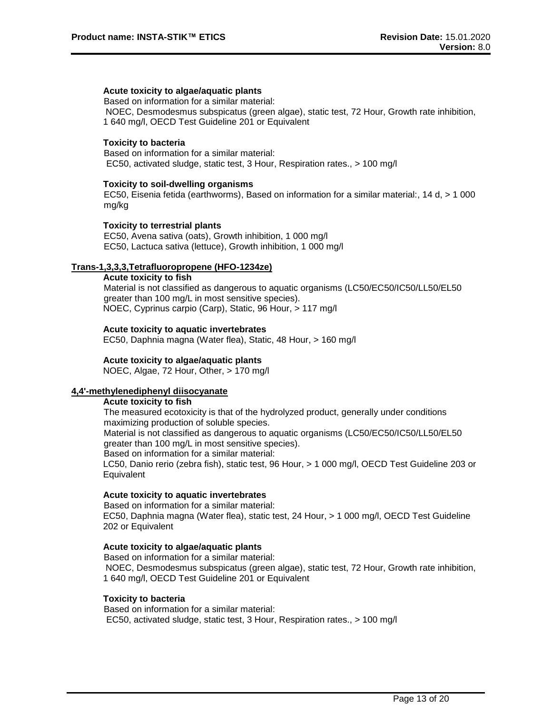# **Acute toxicity to algae/aquatic plants**

Based on information for a similar material: NOEC, Desmodesmus subspicatus (green algae), static test, 72 Hour, Growth rate inhibition, 1 640 mg/l, OECD Test Guideline 201 or Equivalent

#### **Toxicity to bacteria**

Based on information for a similar material: EC50, activated sludge, static test, 3 Hour, Respiration rates., > 100 mg/l

#### **Toxicity to soil-dwelling organisms**

EC50, Eisenia fetida (earthworms), Based on information for a similar material:, 14 d, > 1 000 mg/kg

## **Toxicity to terrestrial plants**

EC50, Avena sativa (oats), Growth inhibition, 1 000 mg/l EC50, Lactuca sativa (lettuce), Growth inhibition, 1 000 mg/l

# **Trans-1,3,3,3,Tetrafluoropropene (HFO-1234ze)**

**Acute toxicity to fish** Material is not classified as dangerous to aquatic organisms (LC50/EC50/IC50/LL50/EL50 greater than 100 mg/L in most sensitive species). NOEC, Cyprinus carpio (Carp), Static, 96 Hour, > 117 mg/l

## **Acute toxicity to aquatic invertebrates**

EC50, Daphnia magna (Water flea), Static, 48 Hour, > 160 mg/l

# **Acute toxicity to algae/aquatic plants**

NOEC, Algae, 72 Hour, Other, > 170 mg/l

# **4,4'-methylenediphenyl diisocyanate**

#### **Acute toxicity to fish**

The measured ecotoxicity is that of the hydrolyzed product, generally under conditions maximizing production of soluble species. Material is not classified as dangerous to aquatic organisms (LC50/EC50/IC50/LL50/EL50

greater than 100 mg/L in most sensitive species).

Based on information for a similar material:

LC50, Danio rerio (zebra fish), static test, 96 Hour, > 1 000 mg/l, OECD Test Guideline 203 or **Equivalent** 

# **Acute toxicity to aquatic invertebrates**

Based on information for a similar material: EC50, Daphnia magna (Water flea), static test, 24 Hour, > 1 000 mg/l, OECD Test Guideline 202 or Equivalent

#### **Acute toxicity to algae/aquatic plants**

Based on information for a similar material: NOEC, Desmodesmus subspicatus (green algae), static test, 72 Hour, Growth rate inhibition, 1 640 mg/l, OECD Test Guideline 201 or Equivalent

#### **Toxicity to bacteria**

Based on information for a similar material: EC50, activated sludge, static test, 3 Hour, Respiration rates., > 100 mg/l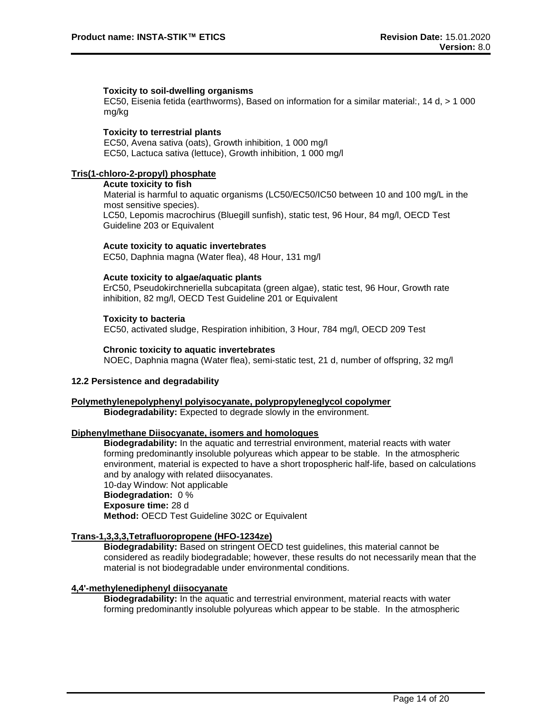## **Toxicity to soil-dwelling organisms**

EC50, Eisenia fetida (earthworms), Based on information for a similar material:, 14 d, > 1 000 mg/kg

# **Toxicity to terrestrial plants**

EC50, Avena sativa (oats), Growth inhibition, 1 000 mg/l EC50, Lactuca sativa (lettuce), Growth inhibition, 1 000 mg/l

# **Tris(1-chloro-2-propyl) phosphate**

#### **Acute toxicity to fish**

Material is harmful to aquatic organisms (LC50/EC50/IC50 between 10 and 100 mg/L in the most sensitive species). LC50, Lepomis macrochirus (Bluegill sunfish), static test, 96 Hour, 84 mg/l, OECD Test Guideline 203 or Equivalent

## **Acute toxicity to aquatic invertebrates**

EC50, Daphnia magna (Water flea), 48 Hour, 131 mg/l

## **Acute toxicity to algae/aquatic plants**

ErC50, Pseudokirchneriella subcapitata (green algae), static test, 96 Hour, Growth rate inhibition, 82 mg/l, OECD Test Guideline 201 or Equivalent

## **Toxicity to bacteria**

EC50, activated sludge, Respiration inhibition, 3 Hour, 784 mg/l, OECD 209 Test

## **Chronic toxicity to aquatic invertebrates**

NOEC, Daphnia magna (Water flea), semi-static test, 21 d, number of offspring, 32 mg/l

# **12.2 Persistence and degradability**

# **Polymethylenepolyphenyl polyisocyanate, polypropyleneglycol copolymer**

**Biodegradability:** Expected to degrade slowly in the environment.

# **Diphenylmethane Diisocyanate, isomers and homologues**

**Biodegradability:** In the aquatic and terrestrial environment, material reacts with water forming predominantly insoluble polyureas which appear to be stable. In the atmospheric environment, material is expected to have a short tropospheric half-life, based on calculations and by analogy with related diisocyanates. 10-day Window: Not applicable

# **Biodegradation:** 0 %

# **Exposure time:** 28 d

**Method:** OECD Test Guideline 302C or Equivalent

# **Trans-1,3,3,3,Tetrafluoropropene (HFO-1234ze)**

**Biodegradability:** Based on stringent OECD test guidelines, this material cannot be considered as readily biodegradable; however, these results do not necessarily mean that the material is not biodegradable under environmental conditions.

# **4,4'-methylenediphenyl diisocyanate**

**Biodegradability:** In the aquatic and terrestrial environment, material reacts with water forming predominantly insoluble polyureas which appear to be stable. In the atmospheric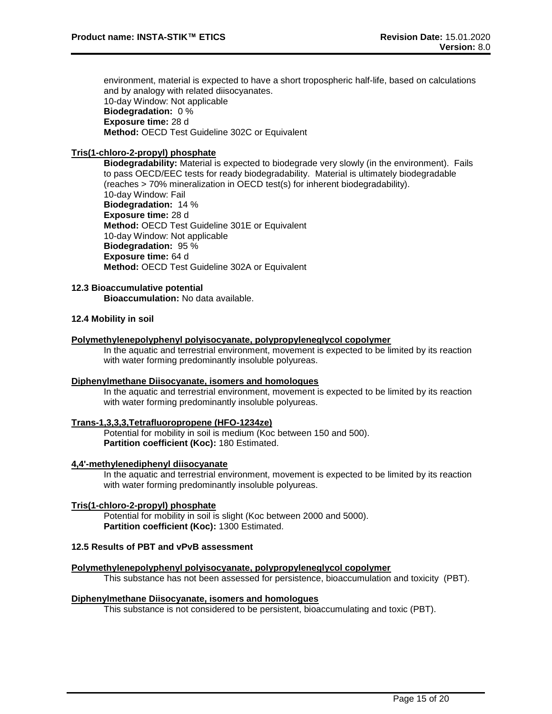environment, material is expected to have a short tropospheric half-life, based on calculations and by analogy with related diisocyanates. 10-day Window: Not applicable **Biodegradation:** 0 % **Exposure time:** 28 d **Method:** OECD Test Guideline 302C or Equivalent

# **Tris(1-chloro-2-propyl) phosphate**

**Biodegradability:** Material is expected to biodegrade very slowly (in the environment). Fails to pass OECD/EEC tests for ready biodegradability. Material is ultimately biodegradable (reaches > 70% mineralization in OECD test(s) for inherent biodegradability). 10-day Window: Fail **Biodegradation:** 14 % **Exposure time:** 28 d **Method:** OECD Test Guideline 301E or Equivalent 10-day Window: Not applicable **Biodegradation:** 95 % **Exposure time:** 64 d **Method:** OECD Test Guideline 302A or Equivalent

# **12.3 Bioaccumulative potential**

**Bioaccumulation:** No data available.

## **12.4 Mobility in soil**

#### **Polymethylenepolyphenyl polyisocyanate, polypropyleneglycol copolymer**

In the aquatic and terrestrial environment, movement is expected to be limited by its reaction with water forming predominantly insoluble polyureas.

#### **Diphenylmethane Diisocyanate, isomers and homologues**

In the aquatic and terrestrial environment, movement is expected to be limited by its reaction with water forming predominantly insoluble polyureas.

#### **Trans-1,3,3,3,Tetrafluoropropene (HFO-1234ze)**

Potential for mobility in soil is medium (Koc between 150 and 500). **Partition coefficient (Koc):** 180 Estimated.

#### **4,4'-methylenediphenyl diisocyanate**

In the aquatic and terrestrial environment, movement is expected to be limited by its reaction with water forming predominantly insoluble polyureas.

## **Tris(1-chloro-2-propyl) phosphate**

Potential for mobility in soil is slight (Koc between 2000 and 5000). **Partition coefficient (Koc):** 1300 Estimated.

# **12.5 Results of PBT and vPvB assessment**

# **Polymethylenepolyphenyl polyisocyanate, polypropyleneglycol copolymer**

This substance has not been assessed for persistence, bioaccumulation and toxicity (PBT).

#### **Diphenylmethane Diisocyanate, isomers and homologues**

This substance is not considered to be persistent, bioaccumulating and toxic (PBT).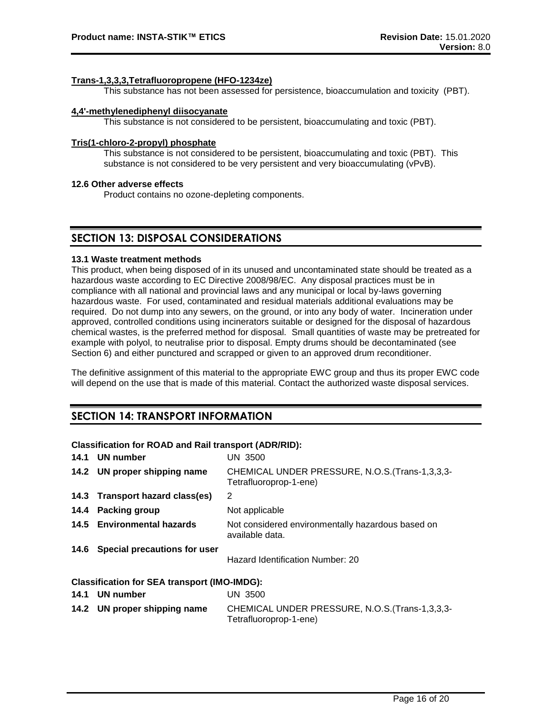# **Trans-1,3,3,3,Tetrafluoropropene (HFO-1234ze)**

This substance has not been assessed for persistence, bioaccumulation and toxicity (PBT).

## **4,4'-methylenediphenyl diisocyanate**

This substance is not considered to be persistent, bioaccumulating and toxic (PBT).

## **Tris(1-chloro-2-propyl) phosphate**

This substance is not considered to be persistent, bioaccumulating and toxic (PBT). This substance is not considered to be very persistent and very bioaccumulating (vPvB).

## **12.6 Other adverse effects**

Product contains no ozone-depleting components.

# **SECTION 13: DISPOSAL CONSIDERATIONS**

## **13.1 Waste treatment methods**

This product, when being disposed of in its unused and uncontaminated state should be treated as a hazardous waste according to EC Directive 2008/98/EC. Any disposal practices must be in compliance with all national and provincial laws and any municipal or local by-laws governing hazardous waste. For used, contaminated and residual materials additional evaluations may be required. Do not dump into any sewers, on the ground, or into any body of water. Incineration under approved, controlled conditions using incinerators suitable or designed for the disposal of hazardous chemical wastes, is the preferred method for disposal. Small quantities of waste may be pretreated for example with polyol, to neutralise prior to disposal. Empty drums should be decontaminated (see Section 6) and either punctured and scrapped or given to an approved drum reconditioner.

The definitive assignment of this material to the appropriate EWC group and thus its proper EWC code will depend on the use that is made of this material. Contact the authorized waste disposal services.

# **SECTION 14: TRANSPORT INFORMATION**

# **Classification for ROAD and Rail transport (ADR/RID):**

| 14.1 UN number                                      | <b>UN 3500</b>                                                            |
|-----------------------------------------------------|---------------------------------------------------------------------------|
| 14.2 UN proper shipping name                        | CHEMICAL UNDER PRESSURE, N.O.S. (Trans-1,3,3,3-<br>Tetrafluoroprop-1-ene) |
| 14.3 Transport hazard class(es)                     | 2                                                                         |
| 14.4 Packing group                                  | Not applicable                                                            |
| 14.5 Environmental hazards                          | Not considered environmentally hazardous based on<br>available data.      |
| 14.6 Special precautions for user                   | Hazard Identification Number: 20                                          |
| <b>Classification for SEA transport (IMO-IMDG):</b> |                                                                           |
| 14.1 UN number                                      | UN 3500                                                                   |
| 14.2 UN proper shipping name                        | CHEMICAL UNDER PRESSURE, N.O.S. (Trans-1,3,3,3-                           |

Tetrafluoroprop-1-ene)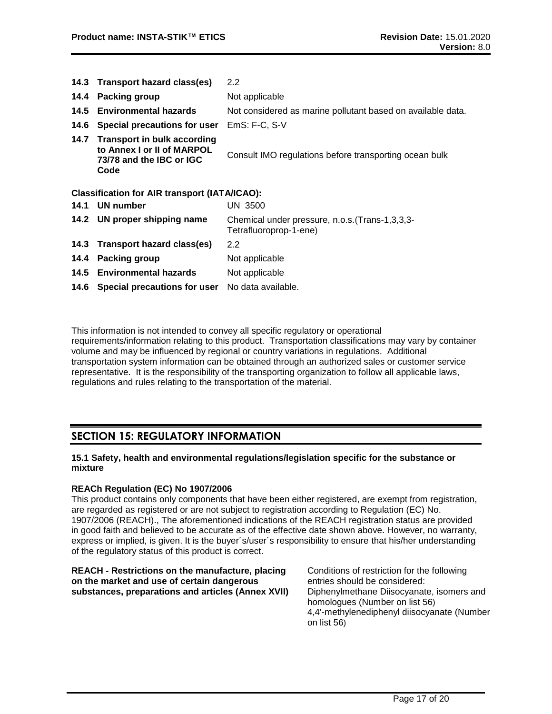|      | 14.3 Transport hazard class(es)                                                                      | $2.2\phantom{0}$                                                          |
|------|------------------------------------------------------------------------------------------------------|---------------------------------------------------------------------------|
| 14.4 | <b>Packing group</b>                                                                                 | Not applicable                                                            |
|      | 14.5 Environmental hazards                                                                           | Not considered as marine pollutant based on available data.               |
| 14.6 | Special precautions for user                                                                         | EmS: F-C, S-V                                                             |
| 14.7 | <b>Transport in bulk according</b><br>to Annex I or II of MARPOL<br>73/78 and the IBC or IGC<br>Code | Consult IMO regulations before transporting ocean bulk                    |
|      | <b>Classification for AIR transport (IATA/ICAO):</b>                                                 |                                                                           |
|      | 14.1 UN number                                                                                       | UN 3500                                                                   |
|      | 14.2 UN proper shipping name                                                                         | Chemical under pressure, n.o.s. (Trans-1,3,3,3-<br>Tetrafluoroprop-1-ene) |
|      | 14.3 Transport hazard class(es)                                                                      | $2.2\phantom{0}$                                                          |
|      | 14.4 Packing group                                                                                   | Not applicable                                                            |
|      | 14.5 Environmental hazards                                                                           | Not applicable                                                            |
|      | 14.6 Special precautions for user                                                                    | No data available.                                                        |

This information is not intended to convey all specific regulatory or operational requirements/information relating to this product. Transportation classifications may vary by container volume and may be influenced by regional or country variations in regulations. Additional transportation system information can be obtained through an authorized sales or customer service representative. It is the responsibility of the transporting organization to follow all applicable laws, regulations and rules relating to the transportation of the material.

# **SECTION 15: REGULATORY INFORMATION**

# **15.1 Safety, health and environmental regulations/legislation specific for the substance or mixture**

# **REACh Regulation (EC) No 1907/2006**

This product contains only components that have been either registered, are exempt from registration, are regarded as registered or are not subject to registration according to Regulation (EC) No. 1907/2006 (REACH)., The aforementioned indications of the REACH registration status are provided in good faith and believed to be accurate as of the effective date shown above. However, no warranty, express or implied, is given. It is the buyer´s/user´s responsibility to ensure that his/her understanding of the regulatory status of this product is correct.

| REACH - Restrictions on the manufacture, placing<br>on the market and use of certain dangerous | Conditions of restriction for the following<br>entries should be considered: |
|------------------------------------------------------------------------------------------------|------------------------------------------------------------------------------|
| substances, preparations and articles (Annex XVII)                                             | Diphenylmethane Diisocyanate, isomers and<br>homologues (Number on list 56)  |
|                                                                                                | 4,4'-methylenediphenyl diisocyanate (Number<br>on list 56)                   |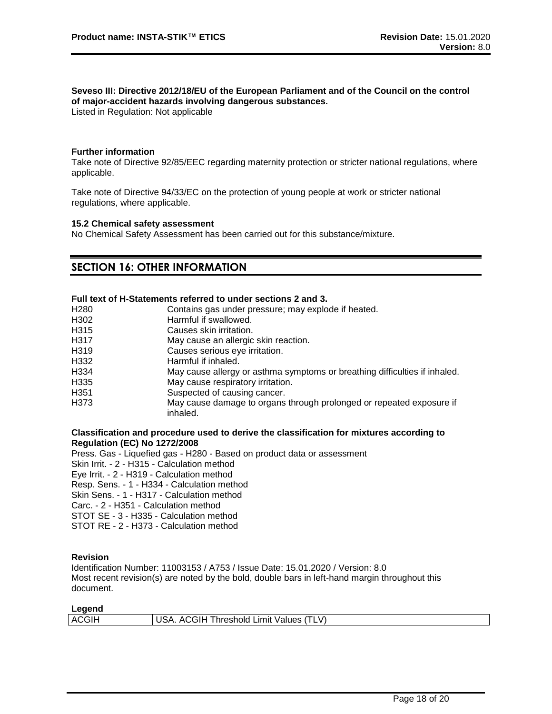# **Seveso III: Directive 2012/18/EU of the European Parliament and of the Council on the control of major-accident hazards involving dangerous substances.**

Listed in Regulation: Not applicable

## **Further information**

Take note of Directive 92/85/EEC regarding maternity protection or stricter national regulations, where applicable.

Take note of Directive 94/33/EC on the protection of young people at work or stricter national regulations, where applicable.

#### **15.2 Chemical safety assessment**

No Chemical Safety Assessment has been carried out for this substance/mixture.

# **SECTION 16: OTHER INFORMATION**

# **Full text of H-Statements referred to under sections 2 and 3.**

| H <sub>280</sub> | Contains gas under pressure; may explode if heated.                              |
|------------------|----------------------------------------------------------------------------------|
| H302             | Harmful if swallowed.                                                            |
| H315             | Causes skin irritation.                                                          |
| H317             | May cause an allergic skin reaction.                                             |
| H319             | Causes serious eye irritation.                                                   |
| H332             | Harmful if inhaled.                                                              |
| H334             | May cause allergy or asthma symptoms or breathing difficulties if inhaled.       |
| H335             | May cause respiratory irritation.                                                |
| H <sub>351</sub> | Suspected of causing cancer.                                                     |
| H373             | May cause damage to organs through prolonged or repeated exposure if<br>inhaled. |

## **Classification and procedure used to derive the classification for mixtures according to Regulation (EC) No 1272/2008**

Press. Gas - Liquefied gas - H280 - Based on product data or assessment Skin Irrit. - 2 - H315 - Calculation method Eye Irrit. - 2 - H319 - Calculation method Resp. Sens. - 1 - H334 - Calculation method Skin Sens. - 1 - H317 - Calculation method Carc. - 2 - H351 - Calculation method STOT SE - 3 - H335 - Calculation method STOT RE - 2 - H373 - Calculation method

# **Revision**

Identification Number: 11003153 / A753 / Issue Date: 15.01.2020 / Version: 8.0 Most recent revision(s) are noted by the bold, double bars in left-hand margin throughout this document.

| Legend |                                         |
|--------|-----------------------------------------|
| ACGIH  | USA. ACGIH Threshold Limit Values (TLV) |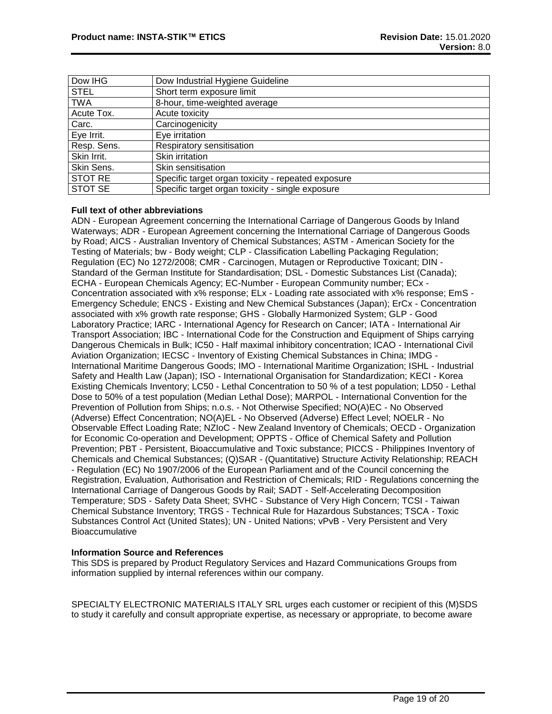| Dow IHG     | Dow Industrial Hygiene Guideline                   |
|-------------|----------------------------------------------------|
| <b>STEL</b> | Short term exposure limit                          |
| <b>TWA</b>  | 8-hour, time-weighted average                      |
| Acute Tox.  | Acute toxicity                                     |
| Carc.       | Carcinogenicity                                    |
| Eye Irrit.  | Eye irritation                                     |
| Resp. Sens. | Respiratory sensitisation                          |
| Skin Irrit. | Skin irritation                                    |
| Skin Sens.  | Skin sensitisation                                 |
| STOT RE     | Specific target organ toxicity - repeated exposure |
| STOT SE     | Specific target organ toxicity - single exposure   |

# **Full text of other abbreviations**

ADN - European Agreement concerning the International Carriage of Dangerous Goods by Inland Waterways; ADR - European Agreement concerning the International Carriage of Dangerous Goods by Road; AICS - Australian Inventory of Chemical Substances; ASTM - American Society for the Testing of Materials; bw - Body weight; CLP - Classification Labelling Packaging Regulation; Regulation (EC) No 1272/2008; CMR - Carcinogen, Mutagen or Reproductive Toxicant; DIN - Standard of the German Institute for Standardisation; DSL - Domestic Substances List (Canada); ECHA - European Chemicals Agency; EC-Number - European Community number; ECx - Concentration associated with x% response; ELx - Loading rate associated with x% response; EmS - Emergency Schedule; ENCS - Existing and New Chemical Substances (Japan); ErCx - Concentration associated with x% growth rate response; GHS - Globally Harmonized System; GLP - Good Laboratory Practice; IARC - International Agency for Research on Cancer; IATA - International Air Transport Association; IBC - International Code for the Construction and Equipment of Ships carrying Dangerous Chemicals in Bulk; IC50 - Half maximal inhibitory concentration; ICAO - International Civil Aviation Organization; IECSC - Inventory of Existing Chemical Substances in China; IMDG - International Maritime Dangerous Goods; IMO - International Maritime Organization; ISHL - Industrial Safety and Health Law (Japan); ISO - International Organisation for Standardization; KECI - Korea Existing Chemicals Inventory; LC50 - Lethal Concentration to 50 % of a test population; LD50 - Lethal Dose to 50% of a test population (Median Lethal Dose); MARPOL - International Convention for the Prevention of Pollution from Ships; n.o.s. - Not Otherwise Specified; NO(A)EC - No Observed (Adverse) Effect Concentration; NO(A)EL - No Observed (Adverse) Effect Level; NOELR - No Observable Effect Loading Rate; NZIoC - New Zealand Inventory of Chemicals; OECD - Organization for Economic Co-operation and Development; OPPTS - Office of Chemical Safety and Pollution Prevention; PBT - Persistent, Bioaccumulative and Toxic substance; PICCS - Philippines Inventory of Chemicals and Chemical Substances; (Q)SAR - (Quantitative) Structure Activity Relationship; REACH - Regulation (EC) No 1907/2006 of the European Parliament and of the Council concerning the Registration, Evaluation, Authorisation and Restriction of Chemicals; RID - Regulations concerning the International Carriage of Dangerous Goods by Rail; SADT - Self-Accelerating Decomposition Temperature; SDS - Safety Data Sheet; SVHC - Substance of Very High Concern; TCSI - Taiwan Chemical Substance Inventory; TRGS - Technical Rule for Hazardous Substances; TSCA - Toxic Substances Control Act (United States); UN - United Nations; vPvB - Very Persistent and Very **Bioaccumulative** 

# **Information Source and References**

This SDS is prepared by Product Regulatory Services and Hazard Communications Groups from information supplied by internal references within our company.

SPECIALTY ELECTRONIC MATERIALS ITALY SRL urges each customer or recipient of this (M)SDS to study it carefully and consult appropriate expertise, as necessary or appropriate, to become aware